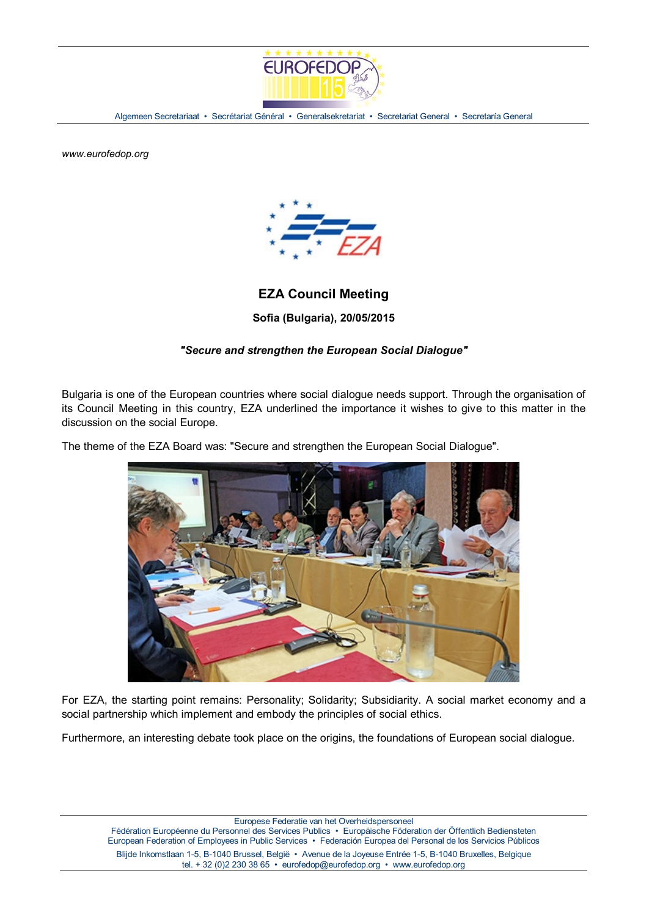

Algemeen Secretariaat • Secrétariat Général • Generalsekretariat • Secretariat General • Secretaría General

*www.eurofedop.org*



## **EZA Council Meeting**

**Sofia (Bulgaria), 20/05/2015**

## *"Secure and strengthen the European Social Dialogue"*

Bulgaria is one of the European countries where social dialogue needs support. Through the organisation of its Council Meeting in this country, EZA underlined the importance it wishes to give to this matter in the discussion on the social Europe.

The theme of the EZA Board was: "Secure and strengthen the European Social Dialogue".



For EZA, the starting point remains: Personality; Solidarity; Subsidiarity. A social market economy and a social partnership which implement and embody the principles of social ethics.

Furthermore, an interesting debate took place on the origins, the foundations of European social dialogue.